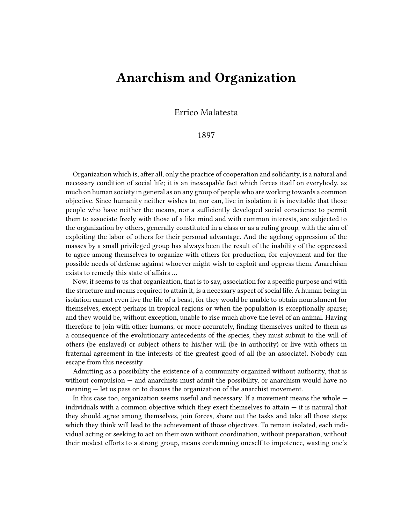## **Anarchism and Organization**

Errico Malatesta

## 1897

Organization which is, after all, only the practice of cooperation and solidarity, is a natural and necessary condition of social life; it is an inescapable fact which forces itself on everybody, as much on human society in general as on any group of people who are working towards a common objective. Since humanity neither wishes to, nor can, live in isolation it is inevitable that those people who have neither the means, nor a sufficiently developed social conscience to permit them to associate freely with those of a like mind and with common interests, are subjected to the organization by others, generally constituted in a class or as a ruling group, with the aim of exploiting the labor of others for their personal advantage. And the agelong oppression of the masses by a small privileged group has always been the result of the inability of the oppressed to agree among themselves to organize with others for production, for enjoyment and for the possible needs of defense against whoever might wish to exploit and oppress them. Anarchism exists to remedy this state of affairs …

Now, it seems to us that organization, that is to say, association for a specific purpose and with the structure and means required to attain it, is a necessary aspect of social life. A human being in isolation cannot even live the life of a beast, for they would be unable to obtain nourishment for themselves, except perhaps in tropical regions or when the population is exceptionally sparse; and they would be, without exception, unable to rise much above the level of an animal. Having therefore to join with other humans, or more accurately, finding themselves united to them as a consequence of the evolutionary antecedents of the species, they must submit to the will of others (be enslaved) or subject others to his/her will (be in authority) or live with others in fraternal agreement in the interests of the greatest good of all (be an associate). Nobody can escape from this necessity.

Admitting as a possibility the existence of a community organized without authority, that is without compulsion  $-$  and anarchists must admit the possibility, or anarchism would have no meaning — let us pass on to discuss the organization of the anarchist movement.

In this case too, organization seems useful and necessary. If a movement means the whole individuals with a common objective which they exert themselves to attain  $-$  it is natural that they should agree among themselves, join forces, share out the tasks and take all those steps which they think will lead to the achievement of those objectives. To remain isolated, each individual acting or seeking to act on their own without coordination, without preparation, without their modest efforts to a strong group, means condemning oneself to impotence, wasting one's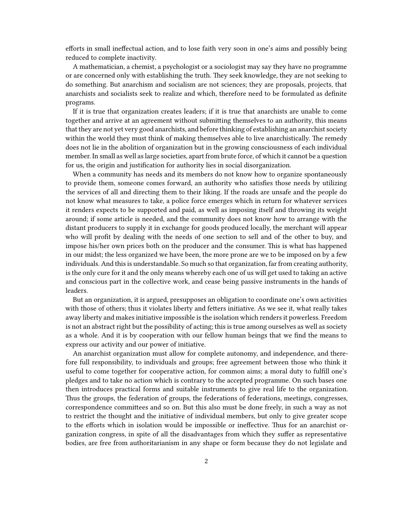efforts in small ineffectual action, and to lose faith very soon in one's aims and possibly being reduced to complete inactivity.

A mathematician, a chemist, a psychologist or a sociologist may say they have no programme or are concerned only with establishing the truth. They seek knowledge, they are not seeking to do something. But anarchism and socialism are not sciences; they are proposals, projects, that anarchists and socialists seek to realize and which, therefore need to be formulated as definite programs.

If it is true that organization creates leaders; if it is true that anarchists are unable to come together and arrive at an agreement without submitting themselves to an authority, this means that they are not yet very good anarchists, and before thinking of establishing an anarchist society within the world they must think of making themselves able to live anarchistically. The remedy does not lie in the abolition of organization but in the growing consciousness of each individual member. In small as well as large societies, apart from brute force, of which it cannot be a question for us, the origin and justification for authority lies in social disorganization.

When a community has needs and its members do not know how to organize spontaneously to provide them, someone comes forward, an authority who satisfies those needs by utilizing the services of all and directing them to their liking. If the roads are unsafe and the people do not know what measures to take, a police force emerges which in return for whatever services it renders expects to be supported and paid, as well as imposing itself and throwing its weight around; if some article is needed, and the community does not know how to arrange with the distant producers to supply it in exchange for goods produced locally, the merchant will appear who will profit by dealing with the needs of one section to sell and of the other to buy, and impose his/her own prices both on the producer and the consumer. This is what has happened in our midst; the less organized we have been, the more prone are we to be imposed on by a few individuals. And this is understandable. So much so that organization, far from creating authority, is the only cure for it and the only means whereby each one of us will get used to taking an active and conscious part in the collective work, and cease being passive instruments in the hands of leaders.

But an organization, it is argued, presupposes an obligation to coordinate one's own activities with those of others; thus it violates liberty and fetters initiative. As we see it, what really takes away liberty and makes initiative impossible is the isolation which renders it powerless. Freedom is not an abstract right but the possibility of acting; this is true among ourselves as well as society as a whole. And it is by cooperation with our fellow human beings that we find the means to express our activity and our power of initiative.

An anarchist organization must allow for complete autonomy, and independence, and therefore full responsibility, to individuals and groups; free agreement between those who think it useful to come together for cooperative action, for common aims; a moral duty to fulfill one's pledges and to take no action which is contrary to the accepted programme. On such bases one then introduces practical forms and suitable instruments to give real life to the organization. Thus the groups, the federation of groups, the federations of federations, meetings, congresses, correspondence committees and so on. But this also must be done freely, in such a way as not to restrict the thought and the initiative of individual members, but only to give greater scope to the efforts which in isolation would be impossible or ineffective. Thus for an anarchist organization congress, in spite of all the disadvantages from which they suffer as representative bodies, are free from authoritarianism in any shape or form because they do not legislate and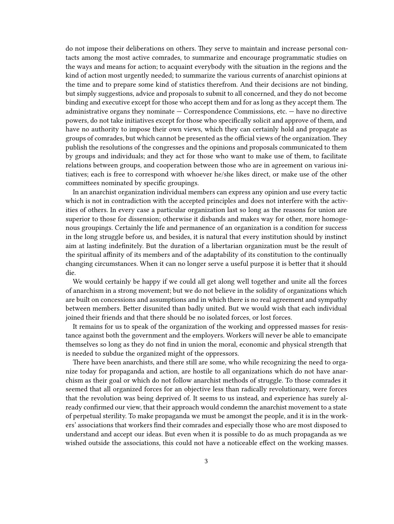do not impose their deliberations on others. They serve to maintain and increase personal contacts among the most active comrades, to summarize and encourage programmatic studies on the ways and means for action; to acquaint everybody with the situation in the regions and the kind of action most urgently needed; to summarize the various currents of anarchist opinions at the time and to prepare some kind of statistics therefrom. And their decisions are not binding, but simply suggestions, advice and proposals to submit to all concerned, and they do not become binding and executive except for those who accept them and for as long as they accept them. The administrative organs they nominate  $-$  Correspondence Commissions, etc.  $-$  have no directive powers, do not take initiatives except for those who specifically solicit and approve of them, and have no authority to impose their own views, which they can certainly hold and propagate as groups of comrades, but which cannot be presented as the official views of the organization. They publish the resolutions of the congresses and the opinions and proposals communicated to them by groups and individuals; and they act for those who want to make use of them, to facilitate relations between groups, and cooperation between those who are in agreement on various initiatives; each is free to correspond with whoever he/she likes direct, or make use of the other committees nominated by specific groupings.

In an anarchist organization individual members can express any opinion and use every tactic which is not in contradiction with the accepted principles and does not interfere with the activities of others. In every case a particular organization last so long as the reasons for union are superior to those for dissension; otherwise it disbands and makes way for other, more homogenous groupings. Certainly the life and permanence of an organization is a condition for success in the long struggle before us, and besides, it is natural that every institution should by instinct aim at lasting indefinitely. But the duration of a libertarian organization must be the result of the spiritual affinity of its members and of the adaptability of its constitution to the continually changing circumstances. When it can no longer serve a useful purpose it is better that it should die.

We would certainly be happy if we could all get along well together and unite all the forces of anarchism in a strong movement; but we do not believe in the solidity of organizations which are built on concessions and assumptions and in which there is no real agreement and sympathy between members. Better disunited than badly united. But we would wish that each individual joined their friends and that there should be no isolated forces, or lost forces.

It remains for us to speak of the organization of the working and oppressed masses for resistance against both the government and the employers. Workers will never be able to emancipate themselves so long as they do not find in union the moral, economic and physical strength that is needed to subdue the organized might of the oppressors.

There have been anarchists, and there still are some, who while recognizing the need to organize today for propaganda and action, are hostile to all organizations which do not have anarchism as their goal or which do not follow anarchist methods of struggle. To those comrades it seemed that all organized forces for an objective less than radically revolutionary, were forces that the revolution was being deprived of. It seems to us instead, and experience has surely already confirmed our view, that their approach would condemn the anarchist movement to a state of perpetual sterility. To make propaganda we must be amongst the people, and it is in the workers' associations that workers find their comrades and especially those who are most disposed to understand and accept our ideas. But even when it is possible to do as much propaganda as we wished outside the associations, this could not have a noticeable effect on the working masses.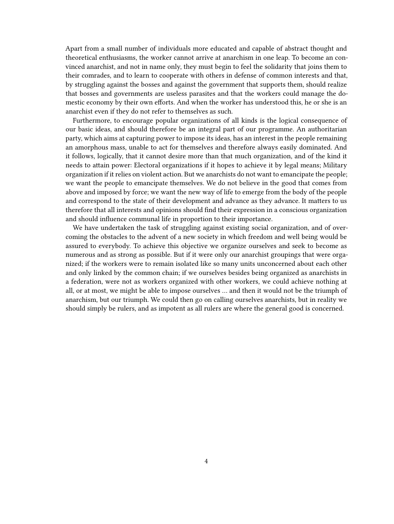Apart from a small number of individuals more educated and capable of abstract thought and theoretical enthusiasms, the worker cannot arrive at anarchism in one leap. To become an convinced anarchist, and not in name only, they must begin to feel the solidarity that joins them to their comrades, and to learn to cooperate with others in defense of common interests and that, by struggling against the bosses and against the government that supports them, should realize that bosses and governments are useless parasites and that the workers could manage the domestic economy by their own efforts. And when the worker has understood this, he or she is an anarchist even if they do not refer to themselves as such.

Furthermore, to encourage popular organizations of all kinds is the logical consequence of our basic ideas, and should therefore be an integral part of our programme. An authoritarian party, which aims at capturing power to impose its ideas, has an interest in the people remaining an amorphous mass, unable to act for themselves and therefore always easily dominated. And it follows, logically, that it cannot desire more than that much organization, and of the kind it needs to attain power: Electoral organizations if it hopes to achieve it by legal means; Military organization if it relies on violent action. But we anarchists do not want to emancipate the people; we want the people to emancipate themselves. We do not believe in the good that comes from above and imposed by force; we want the new way of life to emerge from the body of the people and correspond to the state of their development and advance as they advance. It matters to us therefore that all interests and opinions should find their expression in a conscious organization and should influence communal life in proportion to their importance.

We have undertaken the task of struggling against existing social organization, and of overcoming the obstacles to the advent of a new society in which freedom and well being would be assured to everybody. To achieve this objective we organize ourselves and seek to become as numerous and as strong as possible. But if it were only our anarchist groupings that were organized; if the workers were to remain isolated like so many units unconcerned about each other and only linked by the common chain; if we ourselves besides being organized as anarchists in a federation, were not as workers organized with other workers, we could achieve nothing at all, or at most, we might be able to impose ourselves … and then it would not be the triumph of anarchism, but our triumph. We could then go on calling ourselves anarchists, but in reality we should simply be rulers, and as impotent as all rulers are where the general good is concerned.